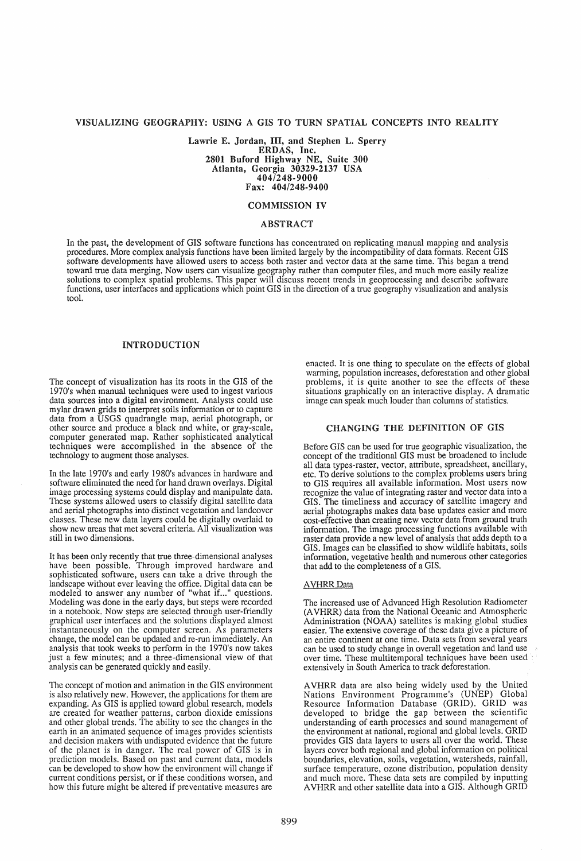# VISUALIZING GEOGRAPHY: USING A GIS TO TURN SPATIAL CONCEPTS INTO REALITY

Lawrie E. Jordan, III, and Stephen L. Sperry ERDAS, Inc. 2801 Buford Highway NE, Suite 300 Atlanta, Georgia 30329-2137 USA 4041248-9000 Fax: 404/248-9400

# COMMISSION IV

### ABSTRACT

In the past, the development of GIS software functions has concentrated on replicating manual mapping and analysis procedures. More complex analysis functions have been limited largely by the incompatibility of data fonnats. Recent GIS software developments have allowed users to access both raster and vector data at the same time. This began a trend toward true data merging. Now users can visualize geography rather than computer files, and much more easily realize solutions to complex spatial problems. This paper will discuss recent trends in geoprocessing and describe software functions, user interfaces and applications which point GIS in the direction of a true geography visualization and analysis tool.

### INTRODUCTION

The concept of visualization has its roots in the GIS of the 1970's when manual techniques were used to ingest various data sources into a digital environment. Analysts could use mylar drawn grids to interpret soils information or to capture data from a USGS quadrangle map, aerial photograph, or other source and produce a black and white, or gray-scale, computer generated map. Rather sophisticated analytical techniques were accomplished in the absence of the technology to augment those analyses.

In the late 1970's and early 1980's advances in hardware and software eliminated the need for hand drawn overlays. Digital image processing systems could display and manipulate data. These systems allowed users to classify digital satellite data and aerial photographs into distinct vegetation and landcover classes. These new data layers could be digitally overlaid to show new areas that met several criteria. All visualization was still in two dimensions.

It has been only recently that true three-dimensional analyses have been possible. Through improved hardware and sophisticated software, users can take a drive through the landscape without ever leaving the office. Digital data can be modeled to answer any number of "what if..." questions. Modeling was done in the early days, but steps were recorded in a notebook. Now steps are selected through user-friendly graphical user interfaces and the solutions displayed almost instantaneously on the computer screen. As parameters change, the model can be updated and re-run immediately. An analysis that took weeks to perfonn in the 1970's now takes just a few minutes; and a three-dimensional view of that analysis can be generated quickly and easily.

The concept of motion and animation in the GIS environment is also relatively new. However, the applications for them are expanding. As GIS is applied toward global research, models are created for weather patterns, carbon dioxide emissions and other global trends. The ability to see the changes in the earth in an animated sequence of images provides scientists and decision makers with undisputed evidence that the future of the planet is in danger. The real power of GIS is in prediction models. Based on past and current data, models can be developed to show how the environment will change if current conditions persist, or if these conditions worsen, and how this future might be altered if preventative measures are enacted. It is one thing to speculate on the effects of global warming, population increases, deforestation and other global problems, it is quite another to see the effects of these situations graphically on an interactive display. A dramatic image can speak much louder than columns of statistics.

### CHANGING THE DEFINITION OF GIS

Before GIS can be used for true geographic visualization, the concept of the traditional GIS must be broadened to include all data types-raster, vector, attribute, spreadsheet, ancillary, etc. To derive solutions to the complex problems users bring to GIS requires all available information. Most users now recognize the value of integrating raster and vector data into a GIS. The timeliness and accuracy of satellite imagery and aerial photographs makes data base updates easier and more cost-effective than creating new vector data from ground truth information. The image processing functions available with raster data provide a new level of analysis that adds depth to a GIS. Images can be classified to show wildlife habitats, soils information, vegetative health and numerous other categories that add to the completeness of a GIS.

#### **AVHRR** Data

The increased use of Advanced High Resolution Radiometer (AVHRR) data from the National Oceanic and Atmospheric Administration (NOAA) satellites is making global studies easier. The extensive coverage of these data give a picture of an entire continent at one time. Data sets from several years can be used to study change in overall vegetation and land use over time. These multitemporal techniques have been used' extensively in South America to track deforestation.

A VHRR data are also being widely used by the United Nations Environment Programme's (UNEP) Global Resource Information Database (GRID). GRID was developed to bridge the gap between the scientific understanding of earth processes and sound management of the environment at national, regional and global levels. GRID provides GIS data layers to users all over the world. These layers cover both regional and global information on political boundaries, elevation, soils, vegetation, watersheds, rainfall, surface temperature, ozone distribution, population density and much more. These data sets are compiled by inputting A VHRR and other satellite data into a GIS. Although GRID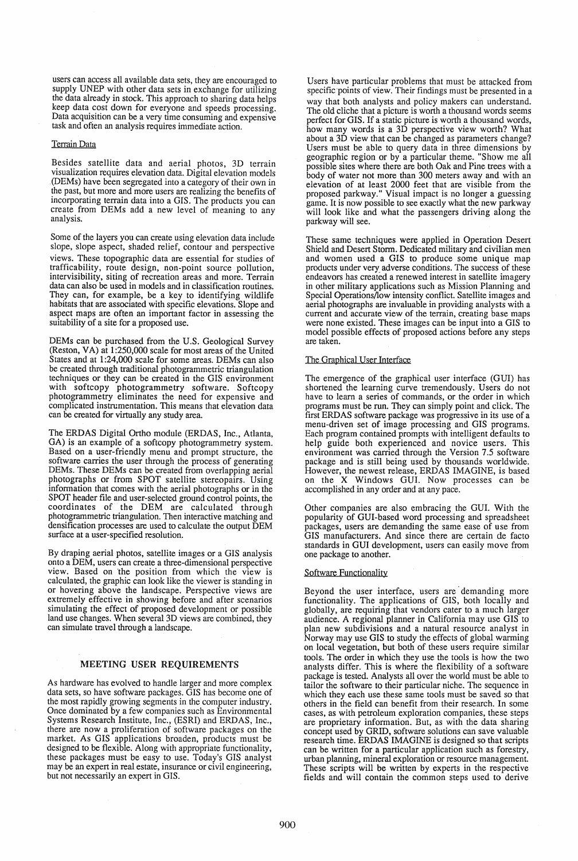users can access all available data sets, they are encouraged to supply UNEP with other data sets in exchange for utilizing the data already in stock. This approach to sharing data helps keep data cost down for everyone and speeds processing. Data acquisition can be a very time consuming and expensive task and often an analysis requires immediate action.

#### Terrain Data

Besides satellite data and aerial photos, 3D terrain visualization requires elevation data. Digital elevation models (DEMs) have been segregated into a category of their own in the past, but more and more users are realizing the benefits of incorporating terrain data into a GIS. The products you can create from DEMs add a new level of meaning to any analysis.

Some of the layers you can create using elevation data include slope, slope aspect, shaded relief, contour and perspective views. These topographic data are essential for studies of trafficability, route design, non-point source pollution, intervisibility, siting of recreation areas and more. Terrain data can also be used in models and in classification routines. They can, for example, be a key to identifying wildlife habitats that are associated with specific elevations. Slope and aspect maps are often an important factor in assessing the suitability of a site for a proposed use.

DEMs can be purchased from the U.S. Geological Survey (Reston, VA) at 1:250,000 scale for most areas of the United States and at 1:24,000 scale for some areas. DEMs can also be created through traditional photogrammetric triangulation techniques or they can be created in the GIS environment with softcopy photogrammetry software. Softcopy photogrammetry eliminates the need for expensive and complicated instrumentation. This means that elevation data can be created for virtually any study area.

The ERDAS Digital Ortho module (ERDAS, Inc., Atlanta, GA) is an example of a softcopy photogrammetry system. Based on a user-friendly menu and prompt structure, the software carries the user through the process of generating DEMs. These DEMs can be created from overlapping aerial photographs or from SPOT satellite stereopairs. Using information that comes with the aerial photographs or in the SPOT header file and user-selected ground control points, the coordinates of the DEM are calculated through photogrammetric triangulation. Then interactive matching and densification processes are used to calculate the output DEM surface at a user-specified resolution.

By draping aerial photos, satellite images or a GIS analysis onto a DEM, users can create a three-dimensional perspective view. Based on the position from which the view is calculated, the graphic can look like the viewer is standing in or hovering above the landscape. Perspective views are extremely effective in showing before and after scenarios simulating the effect of proposed development or possible land use changes. When several 3D views are combined, they can simulate travel through a landscape.

# MEETING USER REQUIREMENTS

As hardware has evolved to handle larger and more complex data sets, so have software packages. GIS has become one of the most rapidly growing segments in the computer industry. Once dominated by a few companies such as Environmental Systems Research Institute, Inc., (ESRI) and ERDAS, Inc., there are now a proliferation of software packages on the market. As GIS applications broaden, products must be designed to be flexible. Along with appropriate functionality, these packages must be easy to use. Today's GIS analyst may be an expert in real estate, insurance or civil engineering, but not necessarily an expert in GIS.

Users have particular problems that must be attacked from specific 'points of view. Their findings must be presented in a way that both analysts and policy makers can understand.<br>The old cliche that a picture is worth a thousand words seems perfect for GIS. If a static picture is worth a thousand words, how many words is a 3D perspective view worth? What about a 3D view that can be changed as parameters change? Users must be able to query data in three dimensions by geographic region or by a particular theme. "Show me all possible sites where there are both Oak and Pine trees with a body of water not more than 300 meters away and with an elevation of at least 2000 feet that are visible from the proposed parkway." Visual impact is no longer a guessing game. It is now possible to see exactly what the new parkway will look like and what the passengers driving along the parkway will see.

These same techniques were applied in Operation Desert Shield and Desert Storm. Dedicated military and civilian men and women used a GIS to produce some unique map products under very adverse conditions. The success of these endeavors has created a renewed interest in satellite imagery in other military applications such as Mission Planning and Special Operations/low intensity conflict. Satellite images and aerial photographs are invaluable in providing analysts with a current and accurate view of the terrain, creating base maps were none existed. These images can be input into a GIS to model possible effects of proposed actions before any steps are taken.

### The Graphical User Interface

The emergence of the graphical user interface (GUI) has shortened the learning curve tremendously. Users do not have to learn a series of commands, or the order in which programs must be run. They can simply point and click. The first ERDAS software package was progressive in its use of a menu-driven set of image processing and GIS programs. Each program contained prompts with intelligent defaults to help guide both experienced and novice users. This environment was carried through the Version 7.5 software package and is still being used by thousands worldwide. However, the newest release, ERDAS IMAGINE, is based on the X Windows GUI. Now processes can be accomplished in any order and at any pace.

Other companies are also embracing the GUI. With the popularity of GUI-based word processing and spreadsheet packages, users are demanding the same ease of use from GIS manufacturers. And since there are certain de facto standards in GUI development, users can easily move from one package to another.

#### Software Functionality

Beyond the user interface, users are· demanding more functionality. The applications of GIS, both locally and globally, are requiring that vendors cater to a much larger audience. A regional planner in California may use GIS to plan new subdivisions and a natural resource analyst in Norway may use GIS to study the effects of global warming on local vegetation, but both of these users require similar tools. The order in which they use the tools is how the two analysts differ. This is where the flexibility of a software package is tested. Analysts all over the world must be able to tailor the software to their particular niche. The sequence in which they each use these same tools must be saved so that others in the field can benefit from their research. In some cases, as with petroleum exploration companies, these steps are proprietary information. But, as with the data sharing concept used by GRID, software solutions can save valuable research time. ERDAS IMAGINE is designed so that scripts can be written for a particular application such as forestry, urban planning, mineral exploration or resource management. These scripts will be written by experts in the respective fields and will contain the common steps used to derive